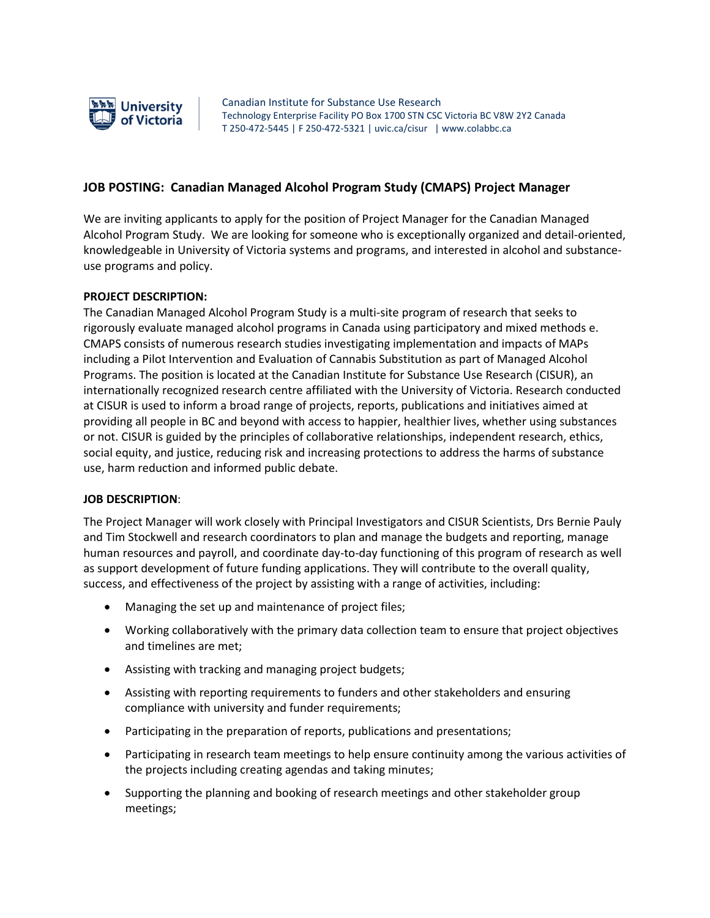

Canadian Institute for Substance Use Research Technology Enterprise Facility PO Box 1700 STN CSC Victoria BC V8W 2Y2 Canada T 250-472-5445 | F 250-472-5321 | uvic.ca/cisur | www.colabbc.ca

# **JOB POSTING: Canadian Managed Alcohol Program Study (CMAPS) Project Manager**

We are inviting applicants to apply for the position of Project Manager for the Canadian Managed Alcohol Program Study. We are looking for someone who is exceptionally organized and detail-oriented, knowledgeable in University of Victoria systems and programs, and interested in alcohol and substanceuse programs and policy.

#### **PROJECT DESCRIPTION:**

The Canadian Managed Alcohol Program Study is a multi-site program of research that seeks to rigorously evaluate managed alcohol programs in Canada using participatory and mixed methods e. CMAPS consists of numerous research studies investigating implementation and impacts of MAPs including a Pilot Intervention and Evaluation of Cannabis Substitution as part of Managed Alcohol Programs. The position is located at the Canadian Institute for Substance Use Research (CISUR), an internationally recognized research centre affiliated with the University of Victoria. Research conducted at CISUR is used to inform a broad range of projects, reports, publications and initiatives aimed at providing all people in BC and beyond with access to happier, healthier lives, whether using substances or not. CISUR is guided by the principles of collaborative relationships, independent research, ethics, social equity, and justice, reducing risk and increasing protections to address the harms of substance use, harm reduction and informed public debate.

#### **JOB DESCRIPTION**:

The Project Manager will work closely with Principal Investigators and CISUR Scientists, Drs Bernie Pauly and Tim Stockwell and research coordinators to plan and manage the budgets and reporting, manage human resources and payroll, and coordinate day-to-day functioning of this program of research as well as support development of future funding applications. They will contribute to the overall quality, success, and effectiveness of the project by assisting with a range of activities, including:

- Managing the set up and maintenance of project files;
- Working collaboratively with the primary data collection team to ensure that project objectives and timelines are met;
- Assisting with tracking and managing project budgets;
- Assisting with reporting requirements to funders and other stakeholders and ensuring compliance with university and funder requirements;
- Participating in the preparation of reports, publications and presentations;
- Participating in research team meetings to help ensure continuity among the various activities of the projects including creating agendas and taking minutes;
- Supporting the planning and booking of research meetings and other stakeholder group meetings;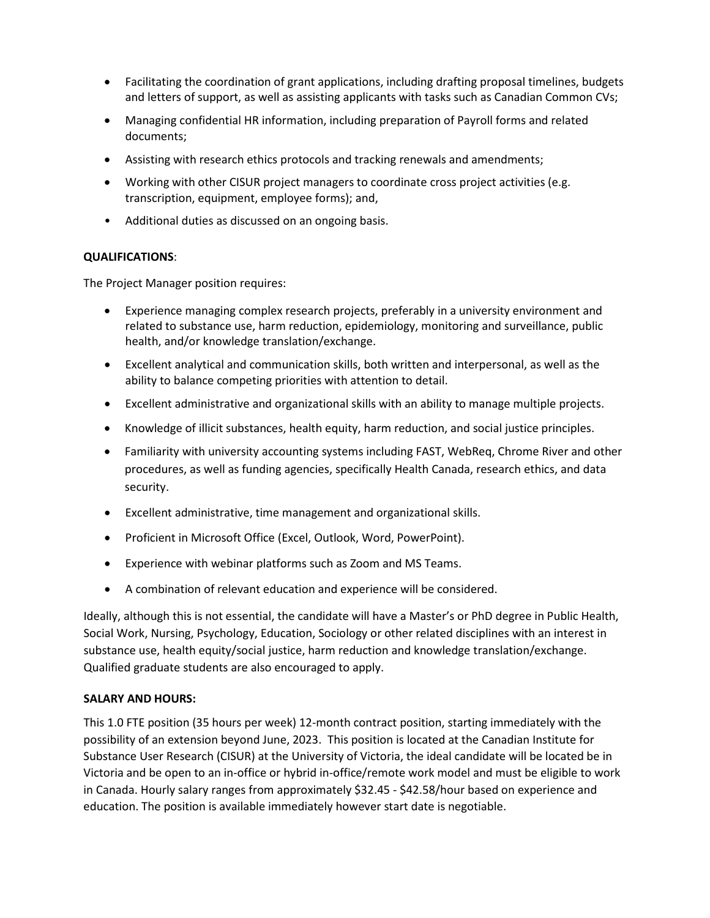- Facilitating the coordination of grant applications, including drafting proposal timelines, budgets and letters of support, as well as assisting applicants with tasks such as Canadian Common CVs;
- Managing confidential HR information, including preparation of Payroll forms and related documents;
- Assisting with research ethics protocols and tracking renewals and amendments;
- Working with other CISUR project managers to coordinate cross project activities (e.g. transcription, equipment, employee forms); and,
- Additional duties as discussed on an ongoing basis.

## **QUALIFICATIONS**:

The Project Manager position requires:

- Experience managing complex research projects, preferably in a university environment and related to substance use, harm reduction, epidemiology, monitoring and surveillance, public health, and/or knowledge translation/exchange.
- Excellent analytical and communication skills, both written and interpersonal, as well as the ability to balance competing priorities with attention to detail.
- Excellent administrative and organizational skills with an ability to manage multiple projects.
- Knowledge of illicit substances, health equity, harm reduction, and social justice principles.
- Familiarity with university accounting systems including FAST, WebReq, Chrome River and other procedures, as well as funding agencies, specifically Health Canada, research ethics, and data security.
- Excellent administrative, time management and organizational skills.
- Proficient in Microsoft Office (Excel, Outlook, Word, PowerPoint).
- Experience with webinar platforms such as Zoom and MS Teams.
- A combination of relevant education and experience will be considered.

Ideally, although this is not essential, the candidate will have a Master's or PhD degree in Public Health, Social Work, Nursing, Psychology, Education, Sociology or other related disciplines with an interest in substance use, health equity/social justice, harm reduction and knowledge translation/exchange. Qualified graduate students are also encouraged to apply.

## **SALARY AND HOURS:**

This 1.0 FTE position (35 hours per week) 12-month contract position, starting immediately with the possibility of an extension beyond June, 2023. This position is located at the Canadian Institute for Substance User Research (CISUR) at the University of Victoria, the ideal candidate will be located be in Victoria and be open to an in-office or hybrid in-office/remote work model and must be eligible to work in Canada. Hourly salary ranges from approximately \$32.45 - \$42.58/hour based on experience and education. The position is available immediately however start date is negotiable.